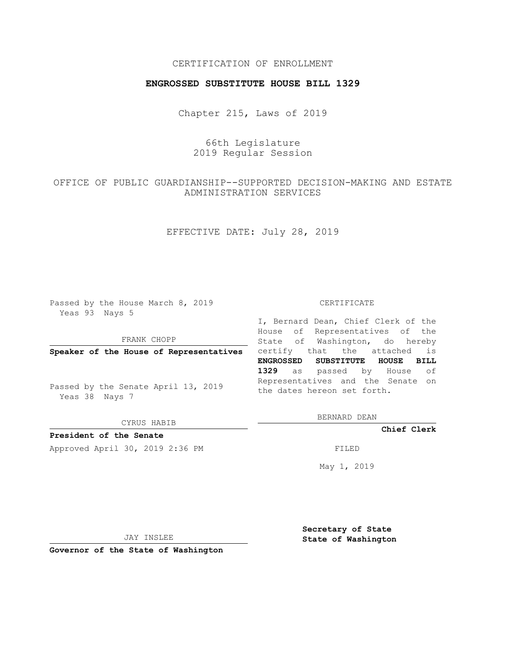## CERTIFICATION OF ENROLLMENT

## **ENGROSSED SUBSTITUTE HOUSE BILL 1329**

Chapter 215, Laws of 2019

# 66th Legislature 2019 Regular Session

# OFFICE OF PUBLIC GUARDIANSHIP--SUPPORTED DECISION-MAKING AND ESTATE ADMINISTRATION SERVICES

## EFFECTIVE DATE: July 28, 2019

Passed by the House March 8, 2019 Yeas 93 Nays 5

### FRANK CHOPP

Passed by the Senate April 13, 2019 Yeas 38 Nays 7

CYRUS HABIB

**President of the Senate**

Approved April 30, 2019 2:36 PM FILED

#### CERTIFICATE

**Speaker of the House of Representatives** certify that the attached is I, Bernard Dean, Chief Clerk of the House of Representatives of the State of Washington, do hereby **ENGROSSED SUBSTITUTE HOUSE BILL 1329** as passed by House of Representatives and the Senate on the dates hereon set forth.

BERNARD DEAN

**Chief Clerk**

May 1, 2019

JAY INSLEE

**Governor of the State of Washington**

**Secretary of State State of Washington**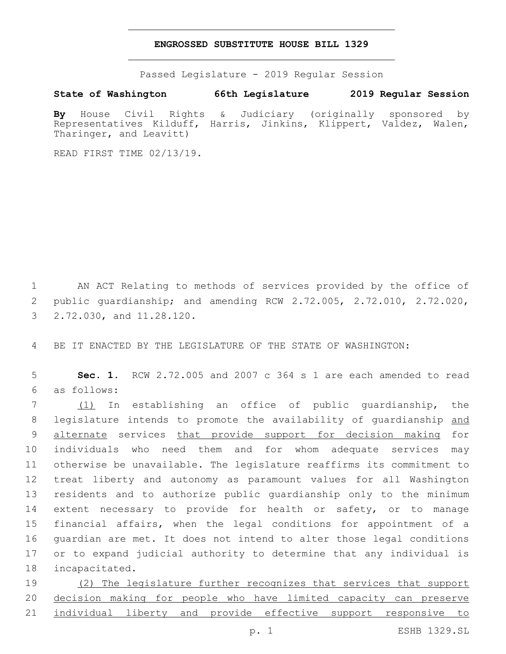### **ENGROSSED SUBSTITUTE HOUSE BILL 1329**

Passed Legislature - 2019 Regular Session

**State of Washington 66th Legislature 2019 Regular Session**

**By** House Civil Rights & Judiciary (originally sponsored by Representatives Kilduff, Harris, Jinkins, Klippert, Valdez, Walen, Tharinger, and Leavitt)

READ FIRST TIME 02/13/19.

1 AN ACT Relating to methods of services provided by the office of 2 public guardianship; and amending RCW 2.72.005, 2.72.010, 2.72.020, 3 2.72.030, and 11.28.120.

4 BE IT ENACTED BY THE LEGISLATURE OF THE STATE OF WASHINGTON:

5 **Sec. 1.** RCW 2.72.005 and 2007 c 364 s 1 are each amended to read as follows:6

 (1) In establishing an office of public guardianship, the 8 legislature intends to promote the availability of guardianship and 9 alternate services that provide support for decision making for individuals who need them and for whom adequate services may otherwise be unavailable. The legislature reaffirms its commitment to treat liberty and autonomy as paramount values for all Washington residents and to authorize public guardianship only to the minimum extent necessary to provide for health or safety, or to manage financial affairs, when the legal conditions for appointment of a guardian are met. It does not intend to alter those legal conditions or to expand judicial authority to determine that any individual is 18 incapacitated.

19 (2) The legislature further recognizes that services that support 20 decision making for people who have limited capacity can preserve 21 individual liberty and provide effective support responsive to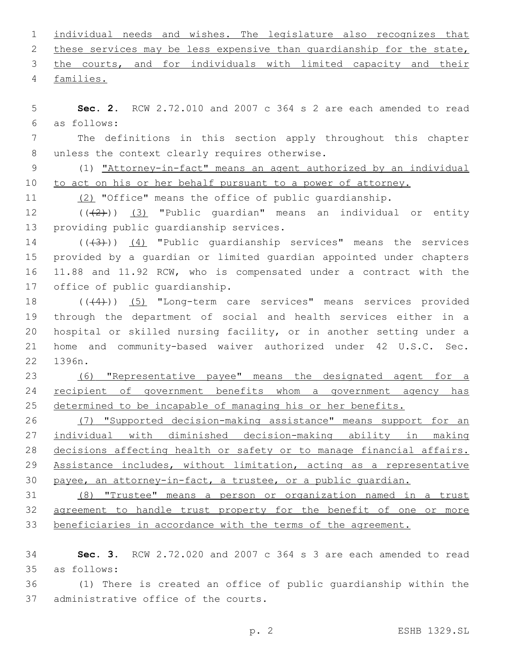| 1             | individual needs and wishes. The legislature also recognizes that     |
|---------------|-----------------------------------------------------------------------|
| 2             | these services may be less expensive than quardianship for the state, |
| 3             | the courts, and for individuals with limited capacity and their       |
| 4             | families.                                                             |
| 5             | Sec. 2. RCW 2.72.010 and 2007 c 364 s 2 are each amended to read      |
| 6             | as follows:                                                           |
| 7             | The definitions in this section apply throughout this chapter         |
| 8             | unless the context clearly requires otherwise.                        |
| $\mathcal{G}$ | (1) "Attorney-in-fact" means an agent authorized by an individual     |
| 10            | to act on his or her behalf pursuant to a power of attorney.          |
| 11            | (2) "Office" means the office of public guardianship.                 |
| 12            | $((+2))$ (3) "Public quardian" means an individual or entity          |
| 13            | providing public quardianship services.                               |
| 14            | $((+3))$ (4) "Public quardianship services" means the services        |
| 15            | provided by a guardian or limited guardian appointed under chapters   |
| 16            | 11.88 and 11.92 RCW, who is compensated under a contract with the     |
| 17            | office of public quardianship.                                        |
| 18            | $((+4))$ (5) "Long-term care services" means services provided        |
| 19            | through the department of social and health services either in a      |
| 20            | hospital or skilled nursing facility, or in another setting under a   |
| 21            | home and community-based waiver authorized under 42 U.S.C. Sec.       |
| 22            | 1396n.                                                                |
| 23            | (6) "Representative payee" means the designated agent for a           |
| 24            | recipient of government benefits whom a government agency has         |
| 25            | determined to be incapable of managing his or her benefits.           |
| 26            | (7) "Supported decision-making assistance" means support for an       |
| 27            | individual with diminished decision-making ability in making          |
| 28            | decisions affecting health or safety or to manage financial affairs.  |
| 29            | Assistance includes, without limitation, acting as a representative   |
| 30            | payee, an attorney-in-fact, a trustee, or a public quardian.          |
| 31            | (8) "Trustee" means a person or organization named in a trust         |
| 32            | agreement to handle trust property for the benefit of one or more     |
| 33            | beneficiaries in accordance with the terms of the agreement.          |
| 34            | Sec. 3. RCW 2.72.020 and 2007 c 364 s 3 are each amended to read      |
| 35            | as follows:                                                           |
| 36            | (1) There is created an office of public quardianship within the      |

37 administrative office of the courts.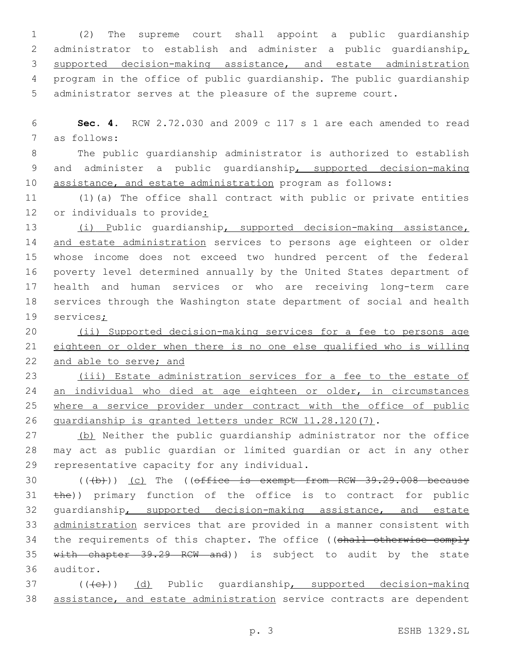(2) The supreme court shall appoint a public guardianship administrator to establish and administer a public guardianship, supported decision-making assistance, and estate administration program in the office of public guardianship. The public guardianship administrator serves at the pleasure of the supreme court.

6 **Sec. 4.** RCW 2.72.030 and 2009 c 117 s 1 are each amended to read 7 as follows:

8 The public guardianship administrator is authorized to establish 9 and administer a public guardianship, supported decision-making 10 assistance, and estate administration program as follows:

11 (1)(a) The office shall contract with public or private entities 12 or individuals to provide:

 (i) Public guardianship, supported decision-making assistance, 14 and estate administration services to persons age eighteen or older whose income does not exceed two hundred percent of the federal poverty level determined annually by the United States department of health and human services or who are receiving long-term care services through the Washington state department of social and health 19 services;

20 (ii) Supported decision-making services for a fee to persons age 21 eighteen or older when there is no one else qualified who is willing 22 and able to serve; and

23 (iii) Estate administration services for a fee to the estate of 24 an individual who died at age eighteen or older, in circumstances 25 where a service provider under contract with the office of public 26 guardianship is granted letters under RCW 11.28.120(7).

27 (b) Neither the public quardianship administrator nor the office 28 may act as public guardian or limited guardian or act in any other 29 representative capacity for any individual.

30 (((b))) (c) The ((office is exempt from RCW 39.29.008 because 31 the)) primary function of the office is to contract for public 32 guardianship, supported decision-making assistance, and estate 33 administration services that are provided in a manner consistent with 34 the requirements of this chapter. The office ((shall otherwise comply 35 with chapter 39.29 RCW and)) is subject to audit by the state 36 auditor.

37 (((e)) (d) Public quardianship, supported decision-making 38 assistance, and estate administration service contracts are dependent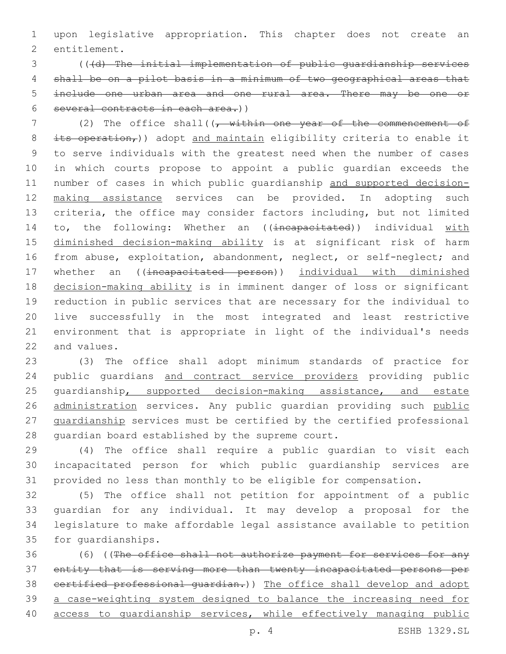upon legislative appropriation. This chapter does not create an 2 entitlement.

 (((d) The initial implementation of public guardianship services shall be on a pilot basis in a minimum of two geographical areas that include one urban area and one rural area. There may be one or several contracts in each area.))

7 (2) The office shall((<del>, within one year of the commencement of</del> 8 its operation,)) adopt and maintain eligibility criteria to enable it to serve individuals with the greatest need when the number of cases in which courts propose to appoint a public guardian exceeds the number of cases in which public guardianship and supported decision- making assistance services can be provided. In adopting such criteria, the office may consider factors including, but not limited 14 to, the following: Whether an ((incapacitated)) individual with diminished decision-making ability is at significant risk of harm 16 from abuse, exploitation, abandonment, neglect, or self-neglect; and 17 whether an ((incapacitated person)) individual with diminished decision-making ability is in imminent danger of loss or significant reduction in public services that are necessary for the individual to live successfully in the most integrated and least restrictive environment that is appropriate in light of the individual's needs 22 and values.

 (3) The office shall adopt minimum standards of practice for 24 public guardians and contract service providers providing public 25 guardianship, supported decision-making assistance, and estate 26 administration services. Any public quardian providing such public guardianship services must be certified by the certified professional 28 quardian board established by the supreme court.

 (4) The office shall require a public guardian to visit each incapacitated person for which public guardianship services are provided no less than monthly to be eligible for compensation.

 (5) The office shall not petition for appointment of a public guardian for any individual. It may develop a proposal for the legislature to make affordable legal assistance available to petition 35 for quardianships.

 (6) ((The office shall not authorize payment for services for any entity that is serving more than twenty incapacitated persons per 38 certified professional guardian.)) The office shall develop and adopt a case-weighting system designed to balance the increasing need for 40 access to guardianship services, while effectively managing public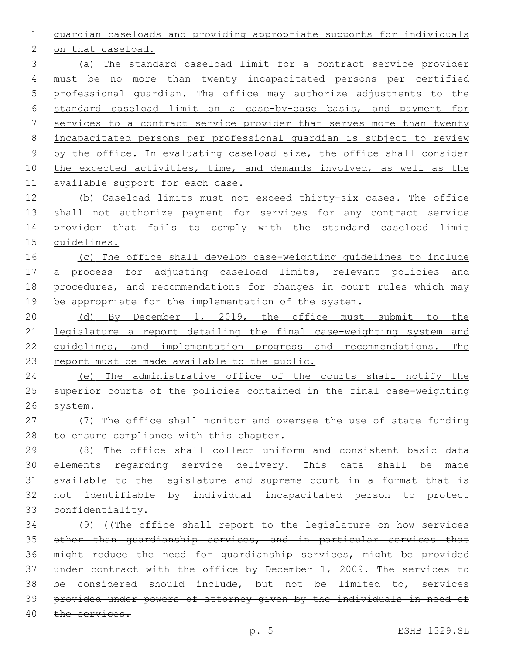guardian caseloads and providing appropriate supports for individuals

2 on that caseload.

 (a) The standard caseload limit for a contract service provider must be no more than twenty incapacitated persons per certified professional guardian. The office may authorize adjustments to the standard caseload limit on a case-by-case basis, and payment for services to a contract service provider that serves more than twenty incapacitated persons per professional guardian is subject to review by the office. In evaluating caseload size, the office shall consider 10 the expected activities, time, and demands involved, as well as the available support for each case.

 (b) Caseload limits must not exceed thirty-six cases. The office 13 shall not authorize payment for services for any contract service provider that fails to comply with the standard caseload limit guidelines.

16 (c) The office shall develop case-weighting guidelines to include a process for adjusting caseload limits, relevant policies and procedures, and recommendations for changes in court rules which may 19 be appropriate for the implementation of the system.

 (d) By December 1, 2019, the office must submit to the legislature a report detailing the final case-weighting system and guidelines, and implementation progress and recommendations. The 23 report must be made available to the public.

 (e) The administrative office of the courts shall notify the superior courts of the policies contained in the final case-weighting system.

 (7) The office shall monitor and oversee the use of state funding 28 to ensure compliance with this chapter.

 (8) The office shall collect uniform and consistent basic data elements regarding service delivery. This data shall be made available to the legislature and supreme court in a format that is not identifiable by individual incapacitated person to protect 33 confidentiality.

 (9) ((The office shall report to the legislature on how services other than guardianship services, and in particular services that might reduce the need for guardianship services, might be provided 37 under contract with the office by December 1, 2009. The services to be considered should include, but not be limited to, services provided under powers of attorney given by the individuals in need of the services.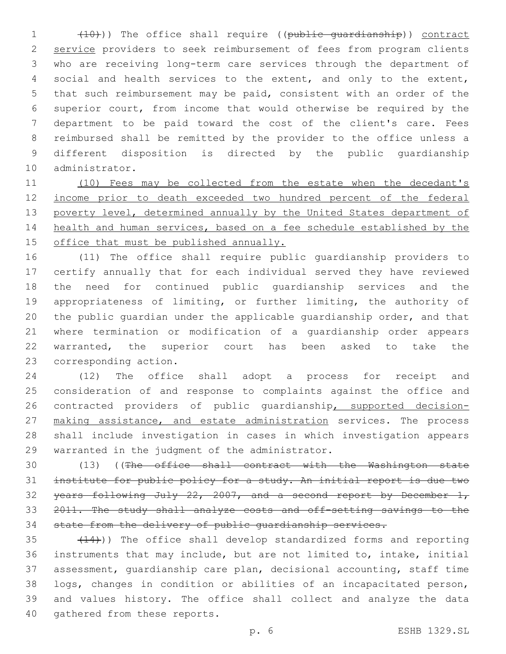(10))) The office shall require ((public guardianship)) contract 2 service providers to seek reimbursement of fees from program clients who are receiving long-term care services through the department of social and health services to the extent, and only to the extent, that such reimbursement may be paid, consistent with an order of the superior court, from income that would otherwise be required by the department to be paid toward the cost of the client's care. Fees reimbursed shall be remitted by the provider to the office unless a different disposition is directed by the public guardianship 10 administrator.

 (10) Fees may be collected from the estate when the decedant's 12 income prior to death exceeded two hundred percent of the federal 13 poverty level, determined annually by the United States department of health and human services, based on a fee schedule established by the office that must be published annually.

 (11) The office shall require public guardianship providers to certify annually that for each individual served they have reviewed the need for continued public guardianship services and the appropriateness of limiting, or further limiting, the authority of the public guardian under the applicable guardianship order, and that where termination or modification of a guardianship order appears warranted, the superior court has been asked to take the 23 corresponding action.

 (12) The office shall adopt a process for receipt and consideration of and response to complaints against the office and contracted providers of public guardianship, supported decision-27 making assistance, and estate administration services. The process shall include investigation in cases in which investigation appears 29 warranted in the judgment of the administrator.

 (13) ((The office shall contract with the Washington state institute for public policy for a study. An initial report is due two 32 years following July  $22, 2007,$  and a second report by December 1, 33 2011. The study shall analyze costs and off-setting savings to the state from the delivery of public guardianship services.

 $(14)$ ) The office shall develop standardized forms and reporting instruments that may include, but are not limited to, intake, initial assessment, guardianship care plan, decisional accounting, staff time logs, changes in condition or abilities of an incapacitated person, and values history. The office shall collect and analyze the data 40 gathered from these reports.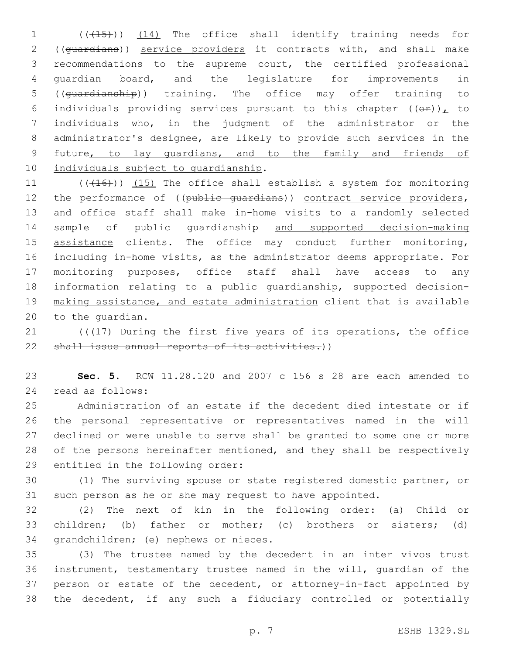1 (( $(15)$ )) (14) The office shall identify training needs for 2 ((guardians)) service providers it contracts with, and shall make recommendations to the supreme court, the certified professional guardian board, and the legislature for improvements in ((guardianship)) training. The office may offer training to 6 individuals providing services pursuant to this chapter  $((\theta \hat{r}))_L$  to individuals who, in the judgment of the administrator or the administrator's designee, are likely to provide such services in the future, to lay guardians, and to the family and friends of 10 individuals subject to guardianship.

11 (((416))) (15) The office shall establish a system for monitoring 12 the performance of ((public quardians)) contract service providers, and office staff shall make in-home visits to a randomly selected sample of public guardianship and supported decision-making 15 assistance clients. The office may conduct further monitoring, including in-home visits, as the administrator deems appropriate. For monitoring purposes, office staff shall have access to any information relating to a public guardianship, supported decision- making assistance, and estate administration client that is available 20 to the quardian.

21 ((417) During the first five years of its operations, the office 22 shall issue annual reports of its activities.))

 **Sec. 5.** RCW 11.28.120 and 2007 c 156 s 28 are each amended to read as follows:24

 Administration of an estate if the decedent died intestate or if the personal representative or representatives named in the will declined or were unable to serve shall be granted to some one or more 28 of the persons hereinafter mentioned, and they shall be respectively 29 entitled in the following order:

 (1) The surviving spouse or state registered domestic partner, or such person as he or she may request to have appointed.

 (2) The next of kin in the following order: (a) Child or children; (b) father or mother; (c) brothers or sisters; (d) 34 grandchildren; (e) nephews or nieces.

 (3) The trustee named by the decedent in an inter vivos trust instrument, testamentary trustee named in the will, guardian of the person or estate of the decedent, or attorney-in-fact appointed by the decedent, if any such a fiduciary controlled or potentially